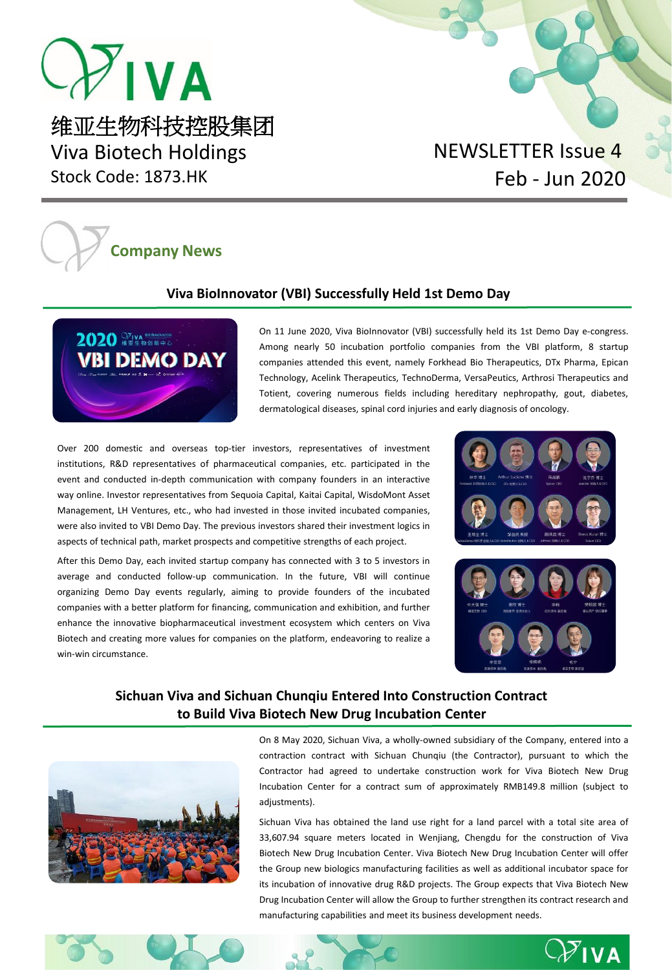

Viva Biotech Holdings Stock Code: 1873.HK

# NEWSLETTER Issue 4 Feb - Jun 2020

# **Company News**

## **Viva BioInnovator [\(VBI\) Successfully Held 1st Demo Day](https://mp.weixin.qq.com/s/QMYN17_CDjT55smdGb3X1w)**



On 11 June 2020, Viva BioInnovator (VBI) successfully held its 1st Demo Day e-congress. Among nearly 50 incubation portfolio companies from the VBI platform, 8 startup companies attended this event, namely Forkhead Bio Therapeutics, DTx Pharma, Epican Technology, Acelink Therapeutics, TechnoDerma, VersaPeutics, Arthrosi Therapeutics and Totient, covering numerous fields including hereditary nephropathy, gout, diabetes, dermatological diseases, spinal cord injuries and early diagnosis of oncology.

Over 200 domestic and overseas top-tier investors, representatives of investment institutions, R&D representatives of pharmaceutical companies, etc. participated in the event and conducted in-depth communication with company founders in an interactive way online. Investor representatives from Sequoia Capital, Kaitai Capital, WisdoMont Asset Management, LH Ventures, etc., who had invested in those invited incubated companies, were also invited to VBI Demo Day. The previous investors shared their investment logics in aspects of technical path, market prospects and competitive strengths of each project.

After this Demo Day, each invited startup company has connected with 3 to 5 investors in average and conducted follow-up communication. In the future, VBI will continue organizing Demo Day events regularly, aiming to provide founders of the incubated companies with a better platform for financing, communication and exhibition, and further enhance the innovative biopharmaceutical investment ecosystem which centers on Viva Biotech and creating more values for companies on the platform, endeavoring to realize a win-win circumstance.





## **[Sichuan Viva and Sichuan Chunqiu Entered Into Construction Contract](https://www1.hkexnews.hk/listedco/listconews/sehk/2020/0511/2020051100013.pdf)  to Build Viva Biotech New Drug Incubation Center**

On 8 May 2020, Sichuan Viva, a wholly-owned subsidiary of the Company, entered into a contraction contract with Sichuan Chunqiu (the Contractor), pursuant to which the Contractor had agreed to undertake construction work for Viva Biotech New Drug Incubation Center for a contract sum of approximately RMB149.8 million (subject to adjustments).

Sichuan Viva has obtained the land use right for a land parcel with a total site area of 33,607.94 square meters located in Wenjiang, Chengdu for the construction of Viva Biotech New Drug Incubation Center. Viva Biotech New Drug Incubation Center will offer the Group new biologics manufacturing facilities as well as additional incubator space for its incubation of innovative drug R&D projects. The Group expects that Viva Biotech New Drug Incubation Center will allow the Group to further strengthen its contract research and manufacturing capabilities and meet its business development needs.





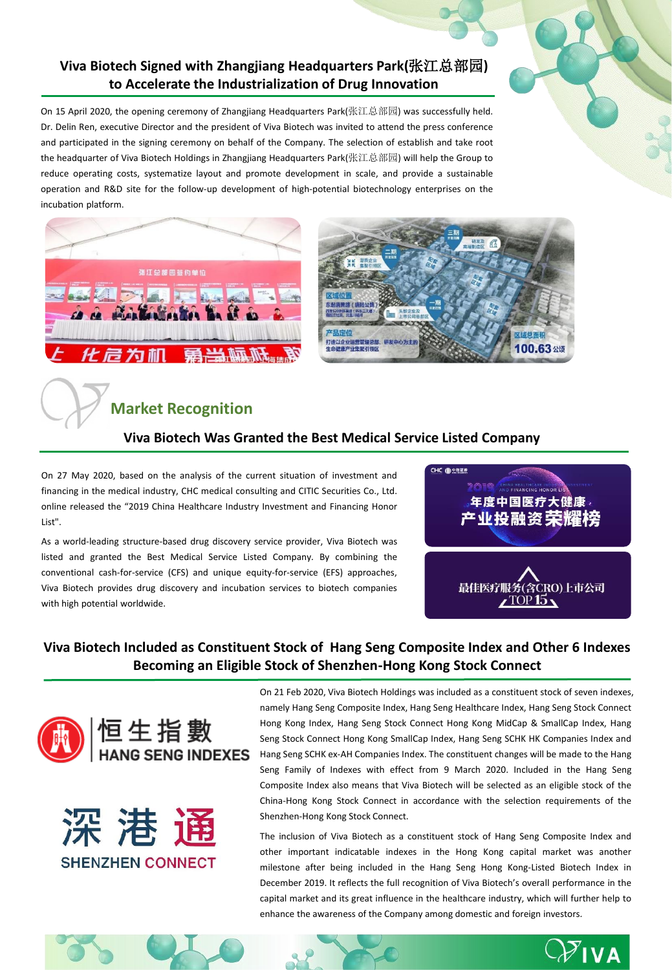## **Viva Biotech Signed with Zhangjiang Headquarters Park(**张江总部园**) [to Accelerate the Industrialization of Drug Innovation](https://mp.weixin.qq.com/s/k91aoqhfp_DkgSVfCIP4iA)**

On 15 April 2020, the opening ceremony of Zhangjiang Headquarters Park(张江总部园) was successfully held. Dr. Delin Ren, executive Director and the president of Viva Biotech was invited to attend the press conference and participated in the signing ceremony on behalf of the Company. The selection of establish and take root the headquarter of Viva Biotech Holdings in Zhangjiang Headquarters Park(张江总部园) will help the Group to reduce operating costs, systematize layout and promote development in scale, and provide a sustainable operation and R&D site for the follow-up development of high-potential biotechnology enterprises on the incubation platform.





## **Market Recognition**

### **[Viva Biotech Was Granted the Best Medical Service Listed Company](https://mp.weixin.qq.com/s/NZcWrd6FhPppXczye2T1eA)**

On 27 May 2020, based on the analysis of the current situation of investment and financing in the medical industry, CHC medical consulting and CITIC Securities Co., Ltd. online released the "2019 China Healthcare Industry Investment and Financing Honor List".

As a world-leading structure-based drug discovery service provider, Viva Biotech was listed and granted the Best Medical Service Listed Company. By combining the conventional cash-for-service (CFS) and unique equity-for-service (EFS) approaches, Viva Biotech provides drug discovery and incubation services to biotech companies with high potential worldwide.



## **[Viva Biotech Included as Constituent Stock of Hang Seng Composite Index and Other 6 Indexes](https://mp.weixin.qq.com/s/cIKUGNEbK7pzkD9fEow_nw) Becoming an Eligible Stock of Shenzhen-Hong Kong Stock Connect**





On 21 Feb 2020, Viva Biotech Holdings was included as a constituent stock of seven indexes, namely Hang Seng Composite Index, Hang Seng Healthcare Index, Hang Seng Stock Connect Hong Kong Index, Hang Seng Stock Connect Hong Kong MidCap & SmallCap Index, Hang Seng Stock Connect Hong Kong SmallCap Index, Hang Seng SCHK HK Companies Index and Hang Seng SCHK ex-AH Companies Index. The constituent changes will be made to the Hang Seng Family of Indexes with effect from 9 March 2020. Included in the Hang Seng Composite Index also means that Viva Biotech will be selected as an eligible stock of the China-Hong Kong Stock Connect in accordance with the selection requirements of the Shenzhen-Hong Kong Stock Connect.

The inclusion of Viva Biotech as a constituent stock of Hang Seng Composite Index and other important indicatable indexes in the Hong Kong capital market was another milestone after being included in the Hang Seng Hong Kong-Listed Biotech Index in December 2019. It reflects the full recognition of Viva Biotech's overall performance in the capital market and its great influence in the healthcare industry, which will further help to enhance the awareness of the Company among domestic and foreign investors.